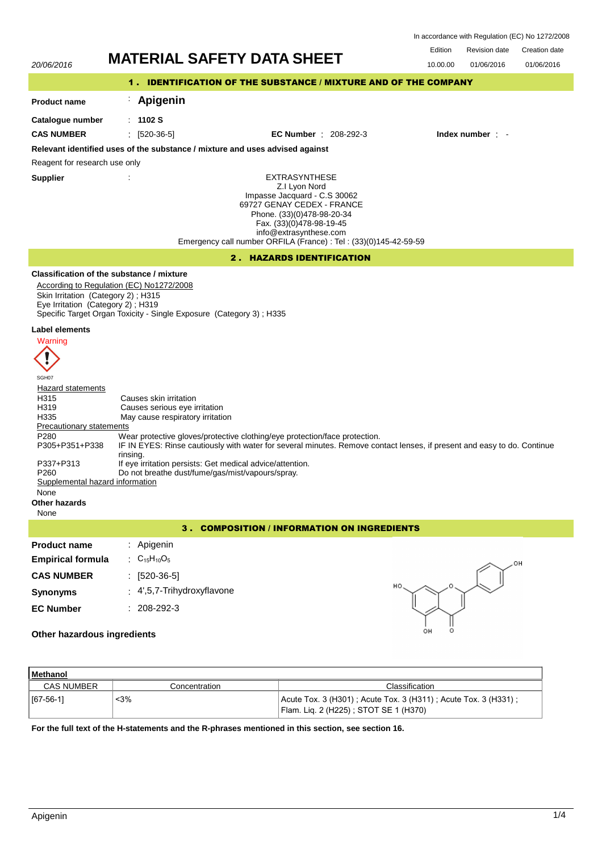| In accordance with Regulation (EC) No 1272/2008 |  |  |  |
|-------------------------------------------------|--|--|--|
|-------------------------------------------------|--|--|--|



| Methanol          |               |                                                                                                         |  |  |
|-------------------|---------------|---------------------------------------------------------------------------------------------------------|--|--|
| <b>CAS NUMBER</b> | Concentration | Classification                                                                                          |  |  |
| $[67-56-1]$       | <3%           | Acute Tox. 3 (H301); Acute Tox. 3 (H311); Acute Tox. 3 (H331);<br>Flam. Lig. 2 (H225); STOT SE 1 (H370) |  |  |

**For the full text of the H-statements and the R-phrases mentioned in this section, see section 16.**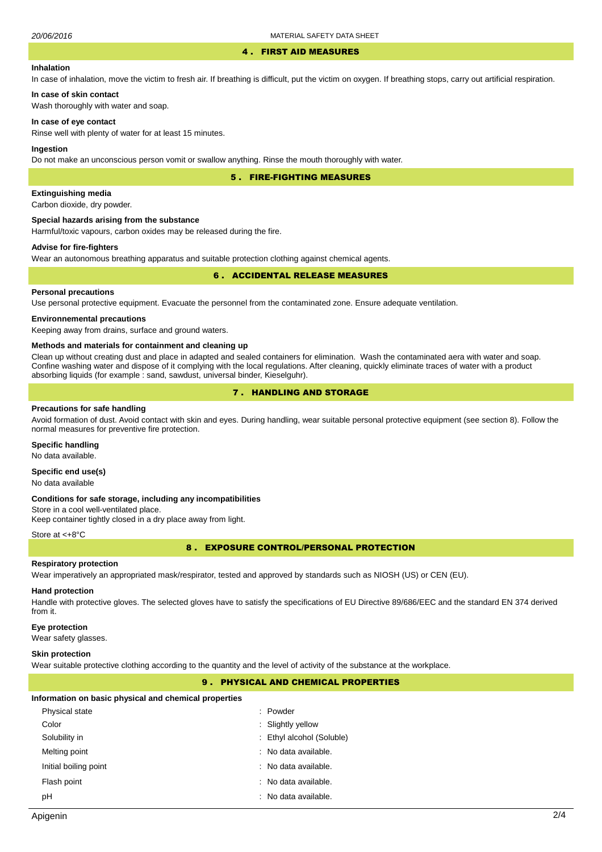#### 4 . FIRST AID MEASURES

# **Inhalation**

In case of inhalation, move the victim to fresh air. If breathing is difficult, put the victim on oxygen. If breathing stops, carry out artificial respiration.

# **In case of skin contact**

Wash thoroughly with water and soap.

#### **In case of eye contact**

Rinse well with plenty of water for at least 15 minutes.

#### **Ingestion**

Do not make an unconscious person vomit or swallow anything. Rinse the mouth thoroughly with water.

5 . FIRE-FIGHTING MEASURES

# **Extinguishing media**

Carbon dioxide, dry powder.

#### **Special hazards arising from the substance**

Harmful/toxic vapours, carbon oxides may be released during the fire.

# **Advise for fire-fighters**

Wear an autonomous breathing apparatus and suitable protection clothing against chemical agents.

### 6 . ACCIDENTAL RELEASE MEASURES

## **Personal precautions**

Use personal protective equipment. Evacuate the personnel from the contaminated zone. Ensure adequate ventilation.

### **Environnemental precautions**

Keeping away from drains, surface and ground waters.

#### **Methods and materials for containment and cleaning up**

Clean up without creating dust and place in adapted and sealed containers for elimination. Wash the contaminated aera with water and soap. Confine washing water and dispose of it complying with the local regulations. After cleaning, quickly eliminate traces of water with a product absorbing liquids (for example : sand, sawdust, universal binder, Kieselguhr).

# 7 . HANDLING AND STORAGE

#### **Precautions for safe handling**

Avoid formation of dust. Avoid contact with skin and eyes. During handling, wear suitable personal protective equipment (see section 8). Follow the normal measures for preventive fire protection.

# **Specific handling**

No data available.

# **Specific end use(s)**

No data available

#### **Conditions for safe storage, including any incompatibilities**

Store in a cool well-ventilated place. Keep container tightly closed in a dry place away from light.

#### Store at <+8°C

8 . EXPOSURE CONTROL/PERSONAL PROTECTION

#### **Respiratory protection**

Wear imperatively an appropriated mask/respirator, tested and approved by standards such as NIOSH (US) or CEN (EU).

#### **Hand protection**

Handle with protective gloves. The selected gloves have to satisfy the specifications of EU Directive 89/686/EEC and the standard EN 374 derived from it.

#### **Eye protection**

Wear safety glasses.

#### **Skin protection**

Wear suitable protective clothing according to the quantity and the level of activity of the substance at the workplace.

# 9 . PHYSICAL AND CHEMICAL PROPERTIES

#### **Information on basic physical and chemical properties**

| Physical state        | : Powder                  |
|-----------------------|---------------------------|
| Color                 | : Slightly yellow         |
| Solubility in         | : Ethyl alcohol (Soluble) |
| Melting point         | : No data available.      |
| Initial boiling point | : No data available.      |
| Flash point           | : No data available.      |
| рH                    | : No data available.      |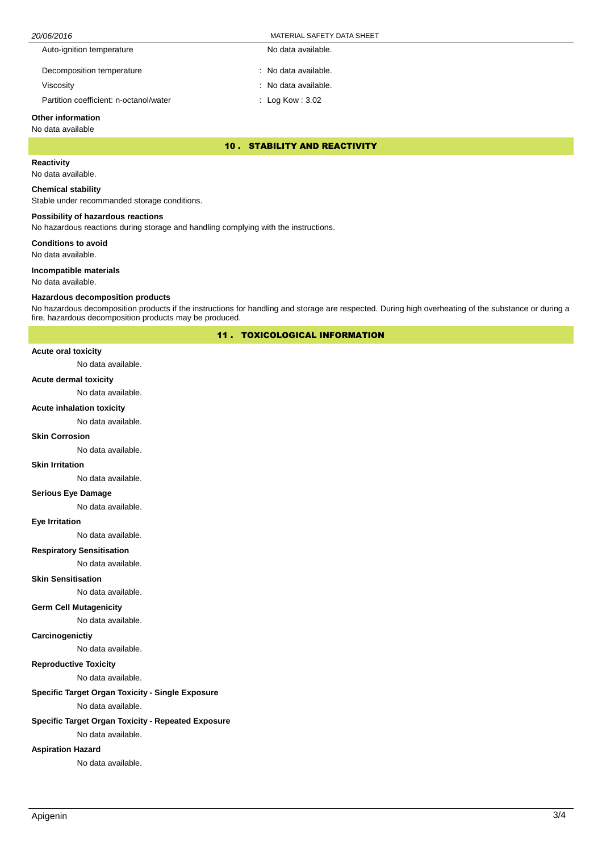| 20/06/2016                             | MATERIAL SAFETY DATA SHEET  |  |
|----------------------------------------|-----------------------------|--|
| Auto-ignition temperature              | No data available.          |  |
| Decomposition temperature              | : No data available.        |  |
| Viscosity                              | : No data available.        |  |
| Partition coefficient: n-octanol/water | $\therefore$ Log Kow : 3.02 |  |

# **Other information**

# No data available

10 . STABILITY AND REACTIVITY

# **Reactivity**

No data available.

#### **Chemical stability**

Stable under recommanded storage conditions.

### **Possibility of hazardous reactions**

No hazardous reactions during storage and handling complying with the instructions.

**Conditions to avoid**

No data available.

#### **Incompatible materials**

No data available.

#### **Hazardous decomposition products**

No hazardous decomposition products if the instructions for handling and storage are respected. During high overheating of the substance or during a fire, hazardous decomposition products may be produced.

11 . TOXICOLOGICAL INFORMATION

# **Acute oral toxicity**

No data available.

### **Acute dermal toxicity**

No data available.

### **Acute inhalation toxicity**

No data available.

### **Skin Corrosion**

No data available.

# **Skin Irritation**

No data available.

# **Serious Eye Damage**

No data available.

#### **Eye Irritation**

No data available.

### **Respiratory Sensitisation**

No data available.

# **Skin Sensitisation**

No data available.

### **Germ Cell Mutagenicity**

No data available.

### **Carcinogenictiy**

No data available.

# **Reproductive Toxicity**

No data available.

# **Specific Target Organ Toxicity - Single Exposure**

No data available.

# **Specific Target Organ Toxicity - Repeated Exposure**

No data available.

# **Aspiration Hazard**

No data available.